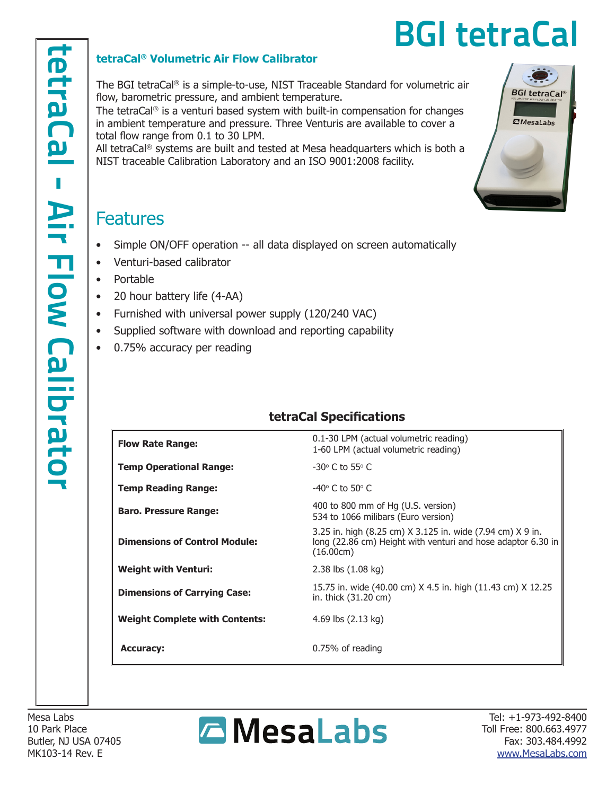**BGI tetraCal®** 

**ZMesaLabs** 

#### **tetraCal® Volumetric Air Flow Calibrator**

The BGI tetraCal® is a simple-to-use, NIST Traceable Standard for volumetric air flow, barometric pressure, and ambient temperature.

The tetraCal® is a venturi based system with built-in compensation for changes in ambient temperature and pressure. Three Venturis are available to cover a total flow range from 0.1 to 30 LPM.

All tetraCal® systems are built and tested at Mesa headquarters which is both a NIST traceable Calibration Laboratory and an ISO 9001:2008 facility.

## **Features**

- Simple ON/OFF operation -- all data displayed on screen automatically
- Venturi-based calibrator
- Portable
- 20 hour battery life (4-AA)
- Furnished with universal power supply (120/240 VAC)
- Supplied software with download and reporting capability
- 0.75% accuracy per reading

### **tetraCal Specifications**

| <b>Flow Rate Range:</b>               | 0.1-30 LPM (actual volumetric reading)<br>1-60 LPM (actual volumetric reading)                                                          |
|---------------------------------------|-----------------------------------------------------------------------------------------------------------------------------------------|
| <b>Temp Operational Range:</b>        | $-30^\circ$ C to 55 $\circ$ C                                                                                                           |
| <b>Temp Reading Range:</b>            | $-40^\circ$ C to 50 $^\circ$ C                                                                                                          |
| <b>Baro. Pressure Range:</b>          | 400 to 800 mm of Hg (U.S. version)<br>534 to 1066 milibars (Euro version)                                                               |
| <b>Dimensions of Control Module:</b>  | 3.25 in. high (8.25 cm) X 3.125 in. wide (7.94 cm) X 9 in.<br>long (22.86 cm) Height with venturi and hose adaptor 6.30 in<br>(16.00cm) |
| <b>Weight with Venturi:</b>           | 2.38 lbs (1.08 kg)                                                                                                                      |
| <b>Dimensions of Carrying Case:</b>   | 15.75 in. wide (40.00 cm) X 4.5 in. high (11.43 cm) X 12.25<br>in. thick (31.20 cm)                                                     |
| <b>Weight Complete with Contents:</b> | 4.69 lbs $(2.13 \text{ kg})$                                                                                                            |
| <b>Accuracy:</b>                      | 0.75% of reading                                                                                                                        |

Mesa Labs 10 Park Place Butler, NJ USA 07405 MK103-14 Rev. E



Tel: +1-973-492-8400 Toll Free: 800.663.4977 Fax: 303.484.4992 www.MesaLabs.com